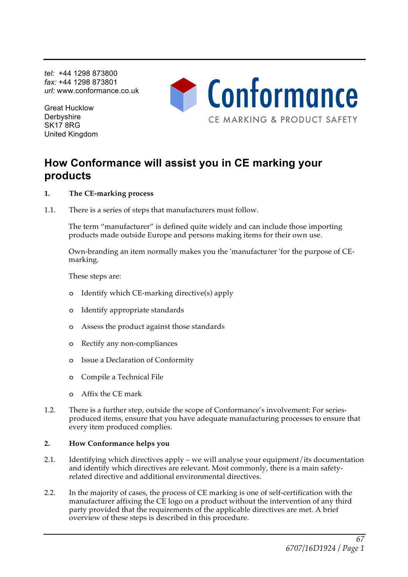*tel:* +44 1298 873800 *fax:* +44 1298 873801 *url:* www.conformance.co.uk

Great Hucklow **Derbyshire** SK17 8RG United Kingdom

# Conformance CE MARKING & PRODUCT SAFETY

## **How Conformance will assist you in CE marking your products**

- **1. The CE-marking process**
- 1.1. There is a series of steps that manufacturers must follow.

The term "manufacturer" is defined quite widely and can include those importing products made outside Europe and persons making items for their own use.

Own-branding an item normally makes you the 'manufacturer 'for the purpose of CEmarking.

These steps are:

- o Identify which CE-marking directive(s) apply
- o Identify appropriate standards
- o Assess the product against those standards
- o Rectify any non-compliances
- o Issue a Declaration of Conformity
- o Compile a Technical File
- o Affix the CE mark
- 1.2. There is a further step, outside the scope of Conformance's involvement: For seriesproduced items, ensure that you have adequate manufacturing processes to ensure that every item produced complies.

### **2. How Conformance helps you**

- 2.1. Identifying which directives apply we will analyse your equipment/its documentation and identify which directives are relevant. Most commonly, there is a main safetyrelated directive and additional environmental directives.
- 2.2. In the majority of cases, the process of CE marking is one of self-certification with the manufacturer affixing the CE logo on a product without the intervention of any third party provided that the requirements of the applicable directives are met. A brief overview of these steps is described in this procedure.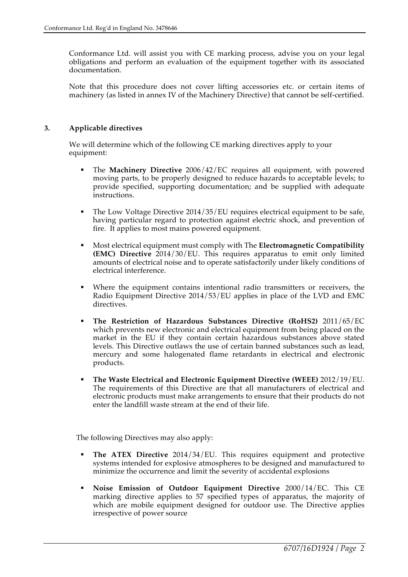Conformance Ltd. will assist you with CE marking process, advise you on your legal obligations and perform an evaluation of the equipment together with its associated documentation.

Note that this procedure does not cover lifting accessories etc. or certain items of machinery (as listed in annex IV of the Machinery Directive) that cannot be self-certified.

#### **3. Applicable directives**

We will determine which of the following CE marking directives apply to your equipment:

- § The **Machinery Directive** 2006/42/EC requires all equipment, with powered moving parts, to be properly designed to reduce hazards to acceptable levels; to provide specified, supporting documentation; and be supplied with adequate instructions.
- The Low Voltage Directive 2014/35/EU requires electrical equipment to be safe, having particular regard to protection against electric shock, and prevention of fire. It applies to most mains powered equipment.
- § Most electrical equipment must comply with The **Electromagnetic Compatibility (EMC) Directive** 2014/30/EU. This requires apparatus to emit only limited amounts of electrical noise and to operate satisfactorily under likely conditions of electrical interference.
- Where the equipment contains intentional radio transmitters or receivers, the Radio Equipment Directive 2014/53/EU applies in place of the LVD and EMC directives.
- § **The Restriction of Hazardous Substances Directive (RoHS2)** 2011/65/EC which prevents new electronic and electrical equipment from being placed on the market in the EU if they contain certain hazardous substances above stated levels. This Directive outlaws the use of certain banned substances such as lead, mercury and some halogenated flame retardants in electrical and electronic products.
- § **The Waste Electrical and Electronic Equipment Directive (WEEE)** 2012/19/EU. The requirements of this Directive are that all manufacturers of electrical and electronic products must make arrangements to ensure that their products do not enter the landfill waste stream at the end of their life.

The following Directives may also apply:

- § **The ATEX Directive** 2014/34/EU. This requires equipment and protective systems intended for explosive atmospheres to be designed and manufactured to minimize the occurrence and limit the severity of accidental explosions
- § **Noise Emission of Outdoor Equipment Directive** 2000/14/EC. This CE marking directive applies to 57 specified types of apparatus, the majority of which are mobile equipment designed for outdoor use. The Directive applies irrespective of power source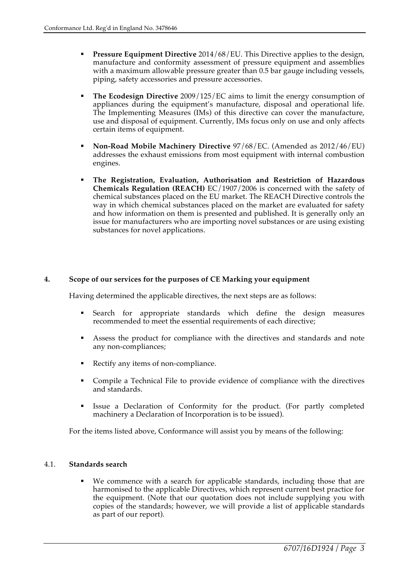- § **Pressure Equipment Directive** 2014/68/EU. This Directive applies to the design, manufacture and conformity assessment of pressure equipment and assemblies with a maximum allowable pressure greater than 0.5 bar gauge including vessels, piping, safety accessories and pressure accessories.
- § **The Ecodesign Directive** 2009/125/EC aims to limit the energy consumption of appliances during the equipment's manufacture, disposal and operational life. The Implementing Measures (IMs) of this directive can cover the manufacture, use and disposal of equipment. Currently, IMs focus only on use and only affects certain items of equipment.
- § **Non-Road Mobile Machinery Directive** 97/68/EC. (Amended as 2012/46/EU) addresses the exhaust emissions from most equipment with internal combustion engines.
- § **The Registration, Evaluation, Authorisation and Restriction of Hazardous Chemicals Regulation (REACH)** EC/1907/2006 is concerned with the safety of chemical substances placed on the EU market. The REACH Directive controls the way in which chemical substances placed on the market are evaluated for safety and how information on them is presented and published. It is generally only an issue for manufacturers who are importing novel substances or are using existing substances for novel applications.

### **4. Scope of our services for the purposes of CE Marking your equipment**

Having determined the applicable directives, the next steps are as follows:

- § Search for appropriate standards which define the design measures recommended to meet the essential requirements of each directive;
- Assess the product for compliance with the directives and standards and note any non-compliances;
- Rectify any items of non-compliance.
- § Compile a Technical File to provide evidence of compliance with the directives and standards.
- § Issue a Declaration of Conformity for the product. (For partly completed machinery a Declaration of Incorporation is to be issued).

For the items listed above, Conformance will assist you by means of the following:

#### 4.1. **Standards search**

We commence with a search for applicable standards, including those that are harmonised to the applicable Directives, which represent current best practice for the equipment. (Note that our quotation does not include supplying you with copies of the standards; however, we will provide a list of applicable standards as part of our report).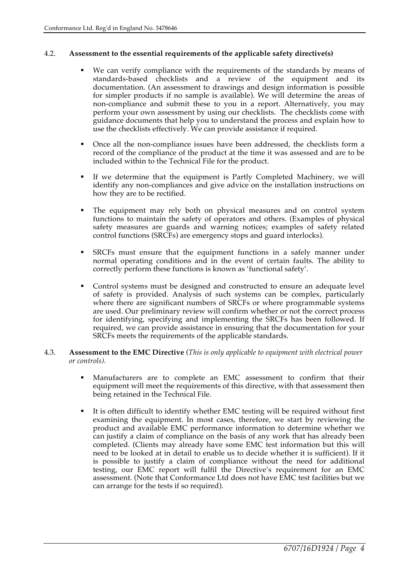#### 4.2. **Assessment to the essential requirements of the applicable safety directive(s)**

- We can verify compliance with the requirements of the standards by means of standards-based checklists and a review of the equipment and its documentation. (An assessment to drawings and design information is possible for simpler products if no sample is available). We will determine the areas of non-compliance and submit these to you in a report. Alternatively, you may perform your own assessment by using our checklists. The checklists come with guidance documents that help you to understand the process and explain how to use the checklists effectively. We can provide assistance if required.
- § Once all the non-compliance issues have been addressed, the checklists form a record of the compliance of the product at the time it was assessed and are to be included within to the Technical File for the product.
- If we determine that the equipment is Partly Completed Machinery, we will identify any non-compliances and give advice on the installation instructions on how they are to be rectified.
- The equipment may rely both on physical measures and on control system functions to maintain the safety of operators and others. (Examples of physical safety measures are guards and warning notices; examples of safety related control functions (SRCFs) are emergency stops and guard interlocks).
- § SRCFs must ensure that the equipment functions in a safely manner under normal operating conditions and in the event of certain faults. The ability to correctly perform these functions is known as 'functional safety'.
- § Control systems must be designed and constructed to ensure an adequate level of safety is provided. Analysis of such systems can be complex, particularly where there are significant numbers of SRCFs or where programmable systems are used. Our preliminary review will confirm whether or not the correct process for identifying, specifying and implementing the SRCFs has been followed. If required, we can provide assistance in ensuring that the documentation for your SRCFs meets the requirements of the applicable standards.
- 4.3. **Assessment to the EMC Directive** (*This is only applicable to equipment with electrical power or controls).*
	- § Manufacturers are to complete an EMC assessment to confirm that their equipment will meet the requirements of this directive, with that assessment then being retained in the Technical File.
	- It is often difficult to identify whether EMC testing will be required without first examining the equipment. In most cases, therefore, we start by reviewing the product and available EMC performance information to determine whether we can justify a claim of compliance on the basis of any work that has already been completed. (Clients may already have some EMC test information but this will need to be looked at in detail to enable us to decide whether it is sufficient). If it is possible to justify a claim of compliance without the need for additional testing, our EMC report will fulfil the Directive's requirement for an EMC assessment. (Note that Conformance Ltd does not have EMC test facilities but we can arrange for the tests if so required).